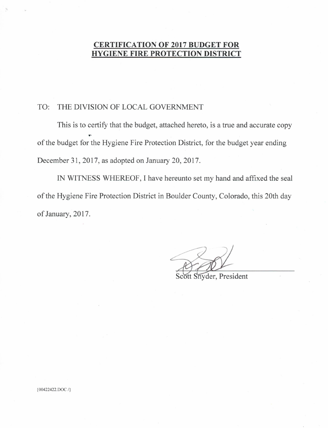## **CERTIFICATION OF 2017 BUDGET FOR HYGIENE FIRE PROTECTION DISTRICT**

#### TO: THE DIVISION OF LOCAL GOVERNMENT

This is to certify that the budget, attached hereto, is a true and accurate copy of the budget for the Hygiene Fire Protection District, for the budget year ending December 31, 2017, as adopted on January 20, 2017.

IN WITNESS WHEREOF, I have hereunto set my hand and affixed the seal of the Hygiene Fire Protection District in Boulder County, Colorado, this 20th day of January, 2017.

Snyder, President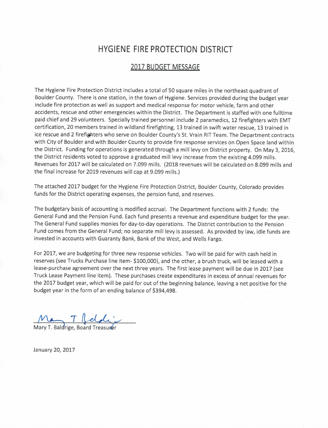# **HYGIENE FIRE PROTECTION DISTRICT**

#### 2017 BUDGET MESSAGE

The Hygiene Fire Protection District includes a total of 50 square miles in the northeast quadrant of Boulder County. There is one station, in the town of Hygiene. Services provided during the budget year include fire protection as well as support and medical response for motor vehicle, farm and other accidents, rescue and other emergencies within the District. The Department is staffed with one fulltime paid chief and 29 volunteers. Specially trained personnel include 2 paramedics, 12 firefighters with EMT certification, 20 members trained in wildland firefighting, 13 trained in swift water rescue, 13 trained in ice rescue and 2 firefighters who serve on Boulder County's St. Vrain RIT Team. The Department contracts with City of Boulder and with Boulder County to provide fire response services on Open Space land within the District. Funding for operations is generated through a mill levy on District property. On May 3, 2016, the District residents voted to approve a graduated mill levy increase from the existing 4.099 mills. Revenues for 2017 will be calculated on 7.099 mills. (2018 revenues will be calculated on 8.099 mills and the final increase for 2019 revenues will cap at 9.099 mills.)

The attached 2017 budget for the Hygiene Fire Protection District, Boulder County, Colorado provides funds for the District operating expenses, the pension fund, and reserves.

The budgetary basis of accounting is modified accrual. The Department functions with 2 funds: the General Fund and the Pension Fund. Each fund presents a revenue and expenditure budget for the year. The General Fund supplies monies for day-to-day operations. The District contribution to the Pension Fund comes from the General Fund; no separate mill levy is assessed. As provided by law, idle funds are invested in accounts with Guaranty Bank, Bank of the West, and Wells Fargo.

For 2017, we are budgeting for three new response vehicles. Two will be paid for with cash held in reserves (see Trucks Purchase line item- \$100,000), and the other, a brush truck, will be leased with a lease-purchase agreement over the next three years. The first lease payment will be due in 2017 (see Truck Lease Payment line item). These purchases create expenditures in excess of annual revenues for the 2017 budget year, which will be paid for out of the beginning balance, leaving a net positive for the budget year in the form of an ending balance of \$394,498.

May T. Baldrige, Board Treasurer

January 20, 2017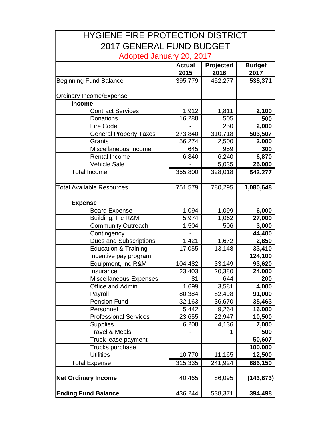| <b>HYGIENE FIRE PROTECTION DISTRICT</b> |                                           |                 |           |                  |  |  |
|-----------------------------------------|-------------------------------------------|-----------------|-----------|------------------|--|--|
|                                         | <b>2017 GENERAL FUND BUDGET</b>           |                 |           |                  |  |  |
| Adopted January 20, 2017                |                                           |                 |           |                  |  |  |
|                                         |                                           | <b>Actual</b>   | Projected | <b>Budget</b>    |  |  |
|                                         |                                           | 2015            | 2016      | 2017             |  |  |
|                                         | <b>Beginning Fund Balance</b>             | 395,779         | 452,277   | 538,371          |  |  |
|                                         |                                           |                 |           |                  |  |  |
|                                         | Ordinary Income/Expense                   |                 |           |                  |  |  |
|                                         | <b>Income</b><br><b>Contract Services</b> |                 | 1,811     |                  |  |  |
|                                         | Donations                                 | 1,912<br>16,288 | 505       | 2,100<br>500     |  |  |
|                                         | Fire Code                                 |                 | 250       | 2,000            |  |  |
|                                         | <b>General Property Taxes</b>             | 273,840         | 310,718   |                  |  |  |
|                                         | Grants                                    | 56,274          |           | 503,507<br>2,000 |  |  |
|                                         |                                           |                 | 2,500     |                  |  |  |
|                                         | Miscellaneous Income                      | 645             | 959       | 300              |  |  |
|                                         | Rental Income                             | 6,840           | 6,240     | 6,870            |  |  |
|                                         | <b>Vehicle Sale</b>                       |                 | 5,035     | 25,000           |  |  |
|                                         | <b>Total Income</b>                       | 355,800         | 328,018   | 542,277          |  |  |
|                                         | <b>Total Available Resources</b>          |                 |           |                  |  |  |
|                                         |                                           | 751,579         | 780,295   | 1,080,648        |  |  |
|                                         | <b>Expense</b>                            |                 |           |                  |  |  |
|                                         | <b>Board Expense</b>                      | 1,094           | 1,099     | 6,000            |  |  |
|                                         | Building, Inc R&M                         | 5,974           | 1,062     | 27,000           |  |  |
|                                         | <b>Community Outreach</b>                 | 1,504           | 506       | 3,000            |  |  |
|                                         | Contingency                               |                 |           | 44,400           |  |  |
|                                         | <b>Dues and Subscriptions</b>             | 1,421           | 1,672     | 2,850            |  |  |
|                                         | <b>Education &amp; Training</b>           | 17,055          | 13,148    | 33,410           |  |  |
|                                         | Incentive pay program                     |                 |           | 124,100          |  |  |
|                                         | Equipment, Inc R&M                        | 104,482         | 33,149    | 93,620           |  |  |
|                                         | Insurance                                 | 23.403          | 20.380    | 24.000           |  |  |
|                                         | Miscellaneous Expenses                    | 81              | 644       | 200              |  |  |
|                                         | Office and Admin                          | 1,699           | 3,581     | 4,000            |  |  |
|                                         | Payroll                                   | 80,384          | 82,498    | 91,000           |  |  |
|                                         | <b>Pension Fund</b>                       | 32,163          | 36,670    | 35,463           |  |  |
|                                         | Personnel                                 | 5,442           | 9,264     | 16,000           |  |  |
|                                         | <b>Professional Services</b>              | 23,655          | 22,947    | 10,500           |  |  |
|                                         | <b>Supplies</b>                           | 6,208           | 4,136     | 7,000            |  |  |
|                                         | <b>Travel &amp; Meals</b>                 |                 | 1         | 500              |  |  |
|                                         | Truck lease payment                       |                 |           | 50,607           |  |  |
|                                         | Trucks purchase                           |                 |           | 100,000          |  |  |
|                                         | <b>Utilities</b>                          | 10,770          | 11,165    | 12,500           |  |  |
|                                         | <b>Total Expense</b>                      | 315,335         | 241,924   | 686,150          |  |  |
|                                         |                                           |                 |           |                  |  |  |
|                                         | <b>Net Ordinary Income</b>                | 40,465          | 86,095    | (143, 873)       |  |  |
|                                         |                                           |                 |           |                  |  |  |
|                                         | <b>Ending Fund Balance</b>                | 436,244         | 538,371   | 394,498          |  |  |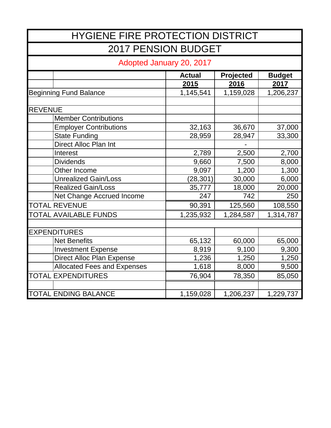| <b>HYGIENE FIRE PROTECTION DISTRICT</b> |                                    |               |           |               |  |  |
|-----------------------------------------|------------------------------------|---------------|-----------|---------------|--|--|
| <b>2017 PENSION BUDGET</b>              |                                    |               |           |               |  |  |
| Adopted January 20, 2017                |                                    |               |           |               |  |  |
|                                         |                                    | <b>Actual</b> | Projected | <b>Budget</b> |  |  |
|                                         |                                    | 2015          | 2016      | 2017          |  |  |
|                                         | <b>Beginning Fund Balance</b>      | 1,145,541     | 1,159,028 | 1,206,237     |  |  |
|                                         |                                    |               |           |               |  |  |
| <b>REVENUE</b>                          |                                    |               |           |               |  |  |
|                                         | <b>Member Contributions</b>        |               |           |               |  |  |
|                                         | <b>Employer Contributions</b>      | 32,163        | 36,670    | 37,000        |  |  |
|                                         | <b>State Funding</b>               | 28,959        | 28,947    | 33,300        |  |  |
|                                         | <b>Direct Alloc Plan Int</b>       |               |           |               |  |  |
|                                         | Interest                           | 2,789         | 2,500     | 2,700         |  |  |
|                                         | <b>Dividends</b>                   | 9,660         | 7,500     | 8,000         |  |  |
|                                         | Other Income                       | 9,097         | 1,200     | 1,300         |  |  |
|                                         | <b>Unrealized Gain/Loss</b>        | (28, 301)     | 30,000    | 6,000         |  |  |
|                                         | <b>Realized Gain/Loss</b>          | 35,777        | 18,000    | 20,000        |  |  |
|                                         | Net Change Accrued Income          | 247           | 742       | 250           |  |  |
|                                         | <b>TOTAL REVENUE</b>               | 90,391        | 125,560   | 108,550       |  |  |
|                                         | <b>TOTAL AVAILABLE FUNDS</b>       | 1,235,932     | 1,284,587 | 1,314,787     |  |  |
|                                         |                                    |               |           |               |  |  |
|                                         | <b>EXPENDITURES</b>                |               |           |               |  |  |
|                                         | <b>Net Benefits</b>                | 65,132        | 60,000    | 65,000        |  |  |
|                                         | <b>Investment Expense</b>          | 8,919         | 9,100     | 9,300         |  |  |
|                                         | <b>Direct Alloc Plan Expense</b>   | 1,236         | 1,250     | 1,250         |  |  |
|                                         | <b>Allocated Fees and Expenses</b> | 1,618         | 8,000     | 9,500         |  |  |
|                                         | <b>TOTAL EXPENDITURES</b>          | 76,904        | 78,350    | 85,050        |  |  |
|                                         |                                    |               |           |               |  |  |
|                                         | <b>TOTAL ENDING BALANCE</b>        | 1,159,028     | 1,206,237 | 1,229,737     |  |  |